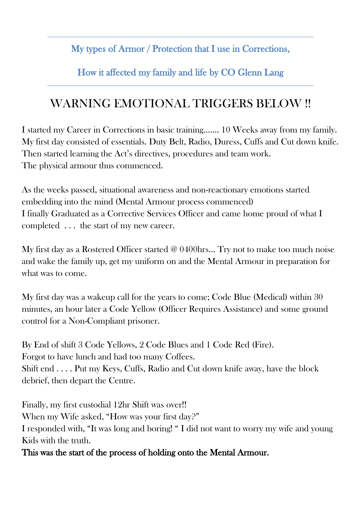My types of Armor / Protection that I use in Corrections,

How it affected my family and life by CO Glenn Lang

## WARNING EMOTIONAL TRIGGERS BELOW !!

I started my Career in Corrections in basic training……. 10 Weeks away from my family. My first day consisted of essentials. Duty Belt, Radio, Duress, Cuffs and Cut down knife. Then started learning the Act's directives, procedures and team work. The physical armour thus commenced.

As the weeks passed, situational awareness and non-reactionary emotions started embedding into the mind (Mental Armour process commenced) I finally Graduated as a Corrective Services Officer and came home proud of what I completed . . . the start of my new career.

My first day as a Rostered Officer started @ 0400hrs... Try not to make too much noise and wake the family up, get my uniform on and the Mental Armour in preparation for what was to come.

My first day was a wakeup call for the years to come; Code Blue (Medical) within 30 minutes, an hour later a Code Yellow (Officer Requires Assistance) and some ground control for a Non-Compliant prisoner.

By End of shift 3 Code Yellows, 2 Code Blues and 1 Code Red (Fire). Forgot to have lunch and had too many Coffees. Shift end . . . . Put my Keys, Cuffs, Radio and Cut down knife away, have the block debrief, then depart the Centre.

Finally, my first custodial 12hr Shift was over!! When my Wife asked, "How was your first day?" I responded with, "It was long and boring! " I did not want to worry my wife and young Kids with the truth.

This was the start of the process of holding onto the Mental Armour.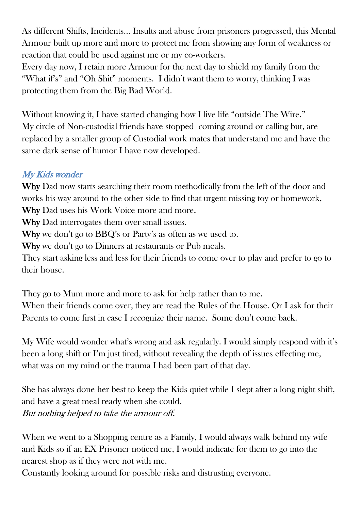As different Shifts, Incidents... Insults and abuse from prisoners progressed, this Mental Armour built up more and more to protect me from showing any form of weakness or reaction that could be used against me or my co-workers.

Every day now, I retain more Armour for the next day to shield my family from the "What if's" and "Oh Shit" moments. I didn't want them to worry, thinking I was protecting them from the Big Bad World.

Without knowing it, I have started changing how I live life "outside The Wire." My circle of Non-custodial friends have stopped coming around or calling but, are replaced by a smaller group of Custodial work mates that understand me and have the same dark sense of humor I have now developed.

## My Kids wonder

Why Dad now starts searching their room methodically from the left of the door and works his way around to the other side to find that urgent missing toy or homework, Why Dad uses his Work Voice more and more,

Why Dad interrogates them over small issues.

Why we don't go to BBQ's or Party's as often as we used to.

Why we don't go to Dinners at restaurants or Pub meals.

They start asking less and less for their friends to come over to play and prefer to go to their house.

They go to Mum more and more to ask for help rather than to me. When their friends come over, they are read the Rules of the House. Or I ask for their Parents to come first in case I recognize their name. Some don't come back.

My Wife would wonder what's wrong and ask regularly. I would simply respond with it's been a long shift or I'm just tired, without revealing the depth of issues effecting me, what was on my mind or the trauma I had been part of that day.

She has always done her best to keep the Kids quiet while I slept after a long night shift, and have a great meal ready when she could. But nothing helped to take the armour off.

When we went to a Shopping centre as a Family, I would always walk behind my wife and Kids so if an EX Prisoner noticed me, I would indicate for them to go into the nearest shop as if they were not with me.

Constantly looking around for possible risks and distrusting everyone.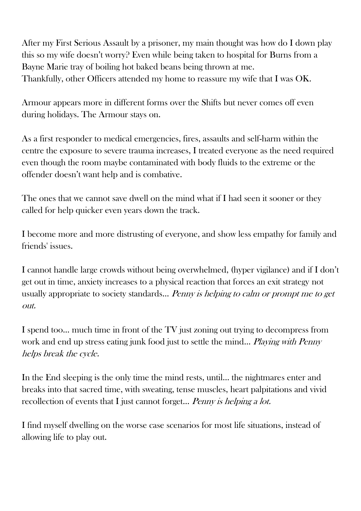After my First Serious Assault by a prisoner, my main thought was how do I down play this so my wife doesn't worry? Even while being taken to hospital for Burns from a Bayne Marie tray of boiling hot baked beans being thrown at me. Thankfully, other Officers attended my home to reassure my wife that I was OK.

Armour appears more in different forms over the Shifts but never comes off even during holidays. The Armour stays on.

As a first responder to medical emergencies, fires, assaults and self-harm within the centre the exposure to severe trauma increases, I treated everyone as the need required even though the room maybe contaminated with body fluids to the extreme or the offender doesn't want help and is combative.

The ones that we cannot save dwell on the mind what if I had seen it sooner or they called for help quicker even years down the track.

I become more and more distrusting of everyone, and show less empathy for family and friends' issues.

I cannot handle large crowds without being overwhelmed, (hyper vigilance) and if I don't get out in time, anxiety increases to a physical reaction that forces an exit strategy not usually appropriate to society standards... Penny is helping to calm or prompt me to get out.

I spend too… much time in front of the TV just zoning out trying to decompress from work and end up stress eating junk food just to settle the mind... Playing with Penny helps break the cycle.

In the End sleeping is the only time the mind rests, until… the nightmares enter and breaks into that sacred time, with sweating, tense muscles, heart palpitations and vivid recollection of events that I just cannot forget... *Penny is helping a lot.* 

I find myself dwelling on the worse case scenarios for most life situations, instead of allowing life to play out.